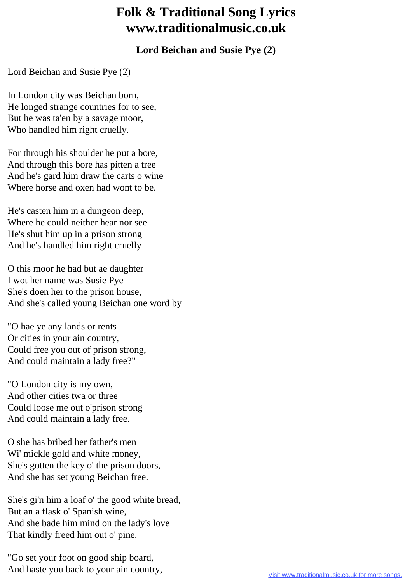## **Folk & Traditional Song Lyrics www.traditionalmusic.co.uk**

## **Lord Beichan and Susie Pye (2)**

Lord Beichan and Susie Pye (2)

In London city was Beichan born, He longed strange countries for to see, But he was ta'en by a savage moor, Who handled him right cruelly.

For through his shoulder he put a bore, And through this bore has pitten a tree And he's gard him draw the carts o wine Where horse and oxen had wont to be.

He's casten him in a dungeon deep, Where he could neither hear nor see He's shut him up in a prison strong And he's handled him right cruelly

O this moor he had but ae daughter I wot her name was Susie Pye She's doen her to the prison house, And she's called young Beichan one word by

"O hae ye any lands or rents Or cities in your ain country, Could free you out of prison strong, And could maintain a lady free?"

"O London city is my own, And other cities twa or three Could loose me out o'prison strong And could maintain a lady free.

O she has bribed her father's men Wi' mickle gold and white money, She's gotten the key o' the prison doors, And she has set young Beichan free.

She's gi'n him a loaf o' the good white bread, But an a flask o' Spanish wine, And she bade him mind on the lady's love That kindly freed him out o' pine.

"Go set your foot on good ship board, And haste you back to your ain country,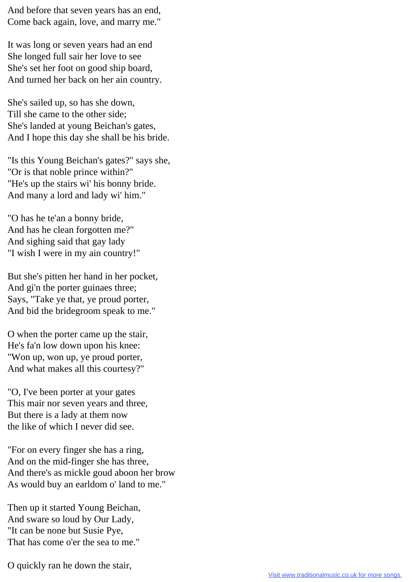And before that seven years has an end, Come back again, love, and marry me."

It was long or seven years had an end She longed full sair her love to see She's set her foot on good ship board, And turned her back on her ain country.

She's sailed up, so has she down, Till she came to the other side; She's landed at young Beichan's gates, And I hope this day she shall be his bride.

"Is this Young Beichan's gates?" says she, "Or is that noble prince within?" "He's up the stairs wi' his bonny bride. And many a lord and lady wi' him."

"O has he te'an a bonny bride, And has he clean forgotten me?" And sighing said that gay lady "I wish I were in my ain country!"

But she's pitten her hand in her pocket, And gi'n the porter guinaes three; Says, "Take ye that, ye proud porter, And bid the bridegroom speak to me."

O when the porter came up the stair, He's fa'n low down upon his knee: "Won up, won up, ye proud porter, And what makes all this courtesy?"

"O, I've been porter at your gates This mair nor seven years and three, But there is a lady at them now the like of which I never did see.

"For on every finger she has a ring, And on the mid-finger she has three, And there's as mickle goud aboon her brow As would buy an earldom o' land to me."

Then up it started Young Beichan, And sware so loud by Our Lady, "It can be none but Susie Pye, That has come o'er the sea to me."

O quickly ran he down the stair,